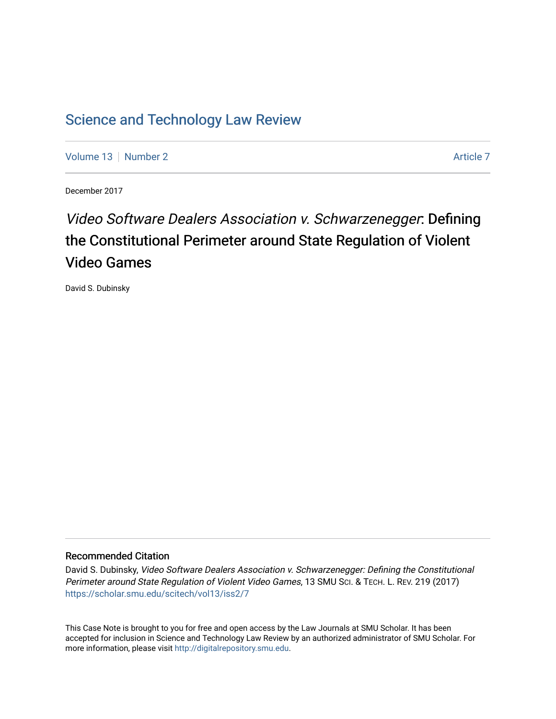# [Science and Technology Law Review](https://scholar.smu.edu/scitech)

[Volume 13](https://scholar.smu.edu/scitech/vol13) [Number 2](https://scholar.smu.edu/scitech/vol13/iss2) [Article 7](https://scholar.smu.edu/scitech/vol13/iss2/7) Article 7 Article 7 Article 7 Article 7 Article 7 Article 7

December 2017

# Video Software Dealers Association v. Schwarzenegger: Defining the Constitutional Perimeter around State Regulation of Violent Video Games

David S. Dubinsky

### Recommended Citation

David S. Dubinsky, Video Software Dealers Association v. Schwarzenegger: Defining the Constitutional Perimeter around State Regulation of Violent Video Games, 13 SMU SCI. & TECH. L. REV. 219 (2017) [https://scholar.smu.edu/scitech/vol13/iss2/7](https://scholar.smu.edu/scitech/vol13/iss2/7?utm_source=scholar.smu.edu%2Fscitech%2Fvol13%2Fiss2%2F7&utm_medium=PDF&utm_campaign=PDFCoverPages)

This Case Note is brought to you for free and open access by the Law Journals at SMU Scholar. It has been accepted for inclusion in Science and Technology Law Review by an authorized administrator of SMU Scholar. For more information, please visit [http://digitalrepository.smu.edu](http://digitalrepository.smu.edu/).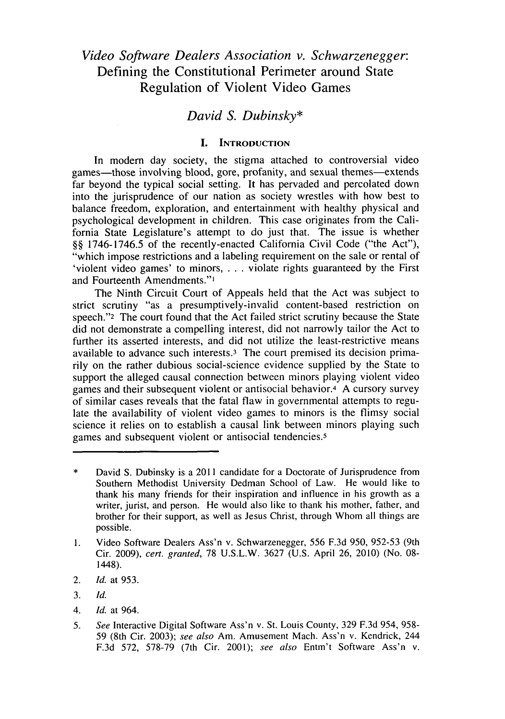## *Video Software Dealers Association v. Schwarzenegger:* Defining the Constitutional Perimeter around State Regulation of Violent Video Games

## *David S. Dubinsky\**

#### **I. INTRODUCTION**

In modern day society, the stigma attached to controversial video games—those involving blood, gore, profanity, and sexual themes—extends far beyond the typical social setting. It has pervaded and percolated down into the jurisprudence of our nation as society wrestles with how best to balance freedom, exploration, and entertainment with healthy physical and psychological development in children. This case originates from the California State Legislature's attempt to do just that. The issue is whether *§§* **1746-1746.5** of the recently-enacted California Civil Code ("the Act"), "which impose restrictions and a labeling requirement on the sale or rental of 'violent video games' to minors, **. . .** violate rights guaranteed **by** the First and Fourteenth Amendments.",

The Ninth Circuit Court of Appeals held that the Act was subject to strict scrutiny "as a presumptively-invalid content-based restriction on speech."<sup>2</sup> The court found that the Act failed strict scrutiny because the State did not demonstrate a compelling interest, did not narrowly tailor the Act to further its asserted interests, and did not utilize the least-restrictive means available to advance such interests.3 The court premised its decision primarily on the rather dubious social-science evidence supplied **by** the State to support the alleged causal connection between minors playing violent video games and their subsequent violent or antisocial behavior.4 **A** cursory survey of similar cases reveals that the fatal flaw in governmental attempts to regulate the availability of violent video games to minors is the flimsy social science it relies on to establish a causal link between minors playing such games and subsequent violent or antisocial tendencies.5

- 2. *Id.* at **953.**
- **3.** *Id.*
- 4. *Id.* at 964.
- **5.** *See* Interactive Digital Software Ass'n v. St. Louis County, **329 F.3d** 954, **958-** *59* (8th Cir. **2003);** *see also* Am. Amusement Mach. Ass'n v. Kendrick, 244 **F.3d 572, 578-79** (7th Cir. 2001); *see also* Entm't Software Ass'n v.

<sup>\*</sup> David **S.** Dubinsky is a 2011 candidate for a Doctorate of Jurisprudence from Southern Methodist University Dedman School of Law. He would like to thank his many friends for their inspiration and influence in his growth as a writer, jurist, and person. He would also like to thank his mother, father, and brother for their support, as well as Jesus Christ, through Whom all things are possible.

**<sup>1.</sup>** Video Software Dealers Ass'n v. Schwarzenegger, *556* **F.3d 950, 952-53** (9th Cir. **2009),** *cert. granted,* **78 U.S.L.W. 3627 (U.S.** April **26,** 2010) (No. **08-** 1448).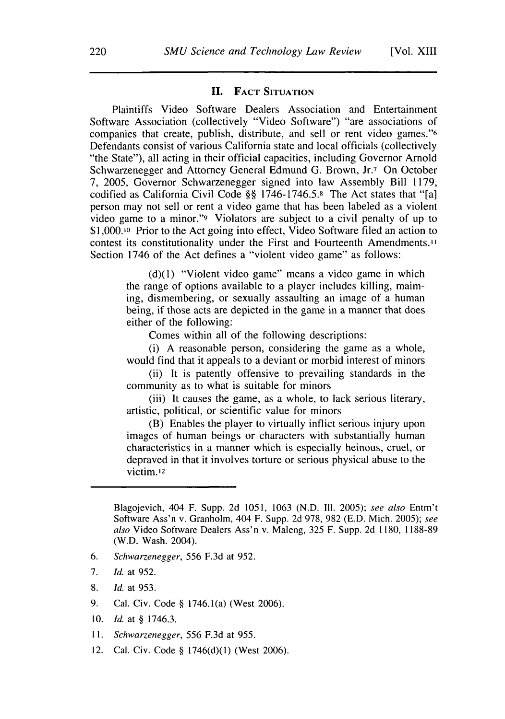#### **II. FACT SITUATION**

Plaintiffs Video Software Dealers Association and Entertainment Software Association (collectively "Video Software") "are associations of companies that create, publish, distribute, and sell or rent video games."6 Defendants consist of various California state and local officials (collectively "the State"), all acting in their official capacities, including Governor Arnold Schwarzenegger and Attorney General Edmund **G.** Brown, Jr.7 On October **7,** *2005,* Governor Schwarzenegger signed into law Assembly Bill **1179,** codified as California Civil Code **§§ 1746-1746.5.8** The Act states that "[a] person may not sell or rent a video game that has been labeled as a violent video game to a minor."9 Violators are subject to a civil penalty of up to **\$1,000.10** Prior to the Act going into effect, Video Software filed an action to contest its constitutionality under the First and Fourteenth Amendments." Section 1746 of the Act defines a "violent video game" as follows:

> **(d)(1)** "Violent video game" means a video game in which the range of options available to a player includes killing, maiming, dismembering, or sexually assaulting an image of a human being, if those acts are depicted in the game in a manner that does either of the following:

Comes within all of the following descriptions:

(i) **A** reasonable person, considering the game as a whole, would find that it appeals to a deviant or morbid interest of minors

(ii) It is patently offensive to prevailing standards in the community as to what is suitable for minors

(iii) It causes the game, as a whole, to lack serious literary, artistic, political, or scientific value for minors

(B) Enables the player to virtually inflict serious injury upon images of human beings or characters with substantially human characteristics in a manner which is especially heinous, cruel, or depraved in that it involves torture or serious physical abuse to the victim. 12

- **6.** *Schwarzenegger,* **556 F.3d** at **952.**
- **7.** *Id.* at **952.**
- **8.** *Id.* at **953.**
- **9.** Cal. Civ. Code **§** 1746.1(a) (West **2006).**
- **10.** *Id.* at **§ 1746.3.**
- **I1.** *Schwarzenegger,* **556 F.3d** at **955.**
- 12. Cal. Civ. Code **§ 1746(d)(1)** (West **2006).**

Blagojevich, 404 F. Supp. **2d 1051, 1063 (N.D.** Ill. *2005); see also* Entm't Software Ass'n v. Granholm, 404 F. Supp. **2d 978, 982 (E.D.** Mich. **2005);** *see also* Video Software Dealers Ass'n v. Maleng, **325** F. Supp. **2d 1180, 1188-89** (W.D. Wash. 2004).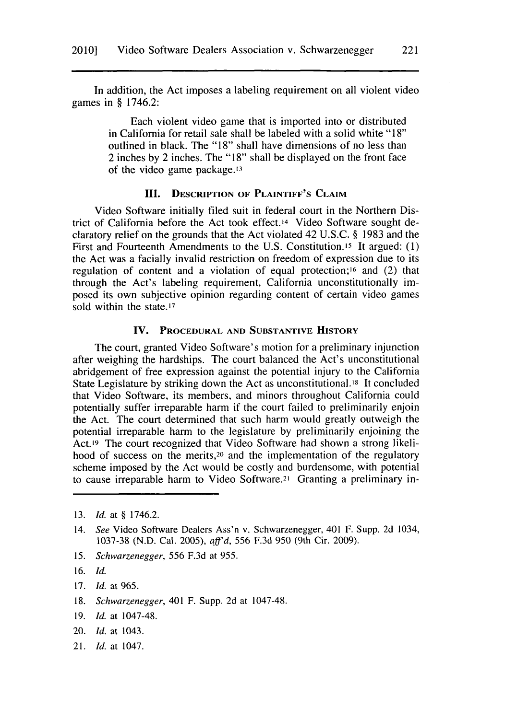In addition, the Act imposes a labeling requirement on all violent video games in **§** 1746.2:

> Each violent video game that is imported into or distributed in California for retail sale shall be labeled with a solid white **"18"** outlined in black. The **"18"** shall have dimensions of no less than 2 inches **by** 2 inches. The **"18"** shall be displayed on the front face of the video game package.13

#### **III. DESCRIPTION OF PLAINTIFF'S CLAIM**

Video Software initially filed suit in federal court in the Northern District of California before the Act took effect.14 Video Software sought declaratory relief on the grounds that the Act violated 42 **U.S.C. § 1983** and the First and Fourteenth Amendments to the **U.S.** Constitution.15 It argued: **(1)** the Act was a facially invalid restriction on freedom of expression due to its regulation of content and a violation of equal protection;16 and (2) that through the Act's labeling requirement, California unconstitutionally imposed its own subjective opinion regarding content of certain video games sold within the state.<sup>17</sup>

#### **IV. PROCEDURAL AND SUBSTANTIVE HISTORY**

The court, granted Video Software's motion for a preliminary injunction after weighing the hardships. The court balanced the Act's unconstitutional abridgement of free expression against the potential injury to the California State Legislature **by** striking down the Act as unconstitutional.18 It concluded that Video Software, its members, and minors throughout California could potentially suffer irreparable harm if the court failed to preliminarily enjoin the Act. The court determined that such harm would greatly outweigh the potential irreparable harm to the legislature **by** preliminarily enjoining the Act.<sup>19</sup> The court recognized that Video Software had shown a strong likelihood of success on the merits,20 and the implementation of the regulatory scheme imposed **by** the Act would be costly and burdensome, with potential to cause irreparable harm to Video Software.21 Granting a preliminary in-

- **15.** *Schwarzenegger,* **556 F.3d** at *955.*
- **16.** *Id.*
- **17.** *Id.* at **965.**
- **18.** *Schwarzenegger,* 401 F. Supp. **2d** at 1047-48.
- **19.** *Id.* at 1047-48.
- 20. *Id.* at 1043.
- 21. *Id.* at 1047.

221

**<sup>13.</sup>** *Id.* at **§** 1746.2.

<sup>14.</sup> *See* Video Software Dealers Ass'n v. Schwarzenegger, 401 F. Supp. **2d** 1034, **1037-38 (N.D.** Cal. **2005),** *aff'd,* **556 F.3d 950** (9th Cir. **2009).**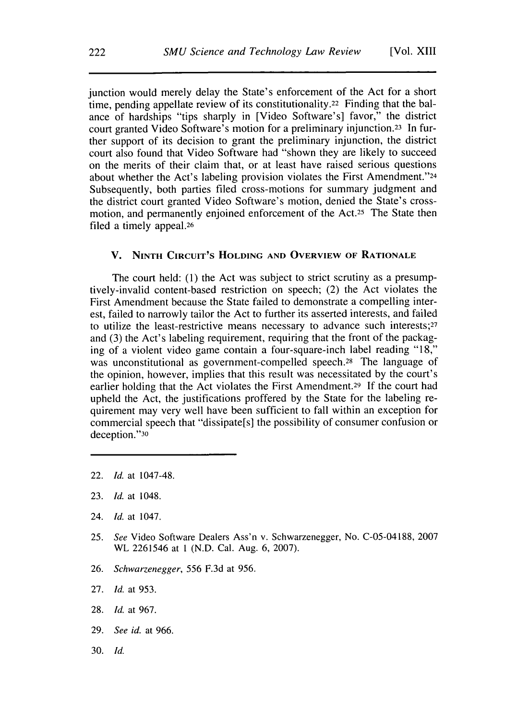junction would merely delay the State's enforcement of the Act for a short time, pending appellate review of its constitutionality.22 Finding that the balance of hardships "tips sharply in [Video Software's] favor," the district court granted Video Software's motion for a preliminary injunction.23 In further support of its decision to grant the preliminary injunction, the district court also found that Video Software had "shown they are likely to succeed on the merits of their claim that, or at least have raised serious questions about whether the Act's labeling provision violates the First Amendment."24 Subsequently, both parties filed cross-motions for summary judgment and the district court granted Video Software's motion, denied the State's crossmotion, and permanently enjoined enforcement of the Act.<sup>25</sup> The State then filed a timely appeal.26

#### **V. NINTH CIRCUIT'S HOLDING AND OVERVIEW OF RATIONALE**

The court held: **(1)** the Act was subject to strict scrutiny as a presumptively-invalid content-based restriction on speech; (2) the Act violates the First Amendment because the State failed to demonstrate a compelling interest, failed to narrowly tailor the Act to further its asserted interests, and failed to utilize the least-restrictive means necessary to advance such interests;27 and **(3)** the Act's labeling requirement, requiring that the front of the packaging of a violent video game contain a four-square-inch label reading **"18,"** was unconstitutional as government-compelled speech.<sup>28</sup> The language of the opinion, however, implies that this result was necessitated **by** the court's earlier holding that the Act violates the First Amendment.29 **If** the court had upheld the Act, the justifications proffered **by** the State for the labeling requirement may very well have been sufficient to fall within an exception for commercial speech that "dissipate[s] the possibility of consumer confusion or deception."30

- 22. *Id.* at 1047-48.
- **23.** *Id.* at 1048.
- 24. *Id.* at 1047.
- *25. See* Video Software Dealers Ass'n v. Schwarzenegger, No. **C-05-04188, 2007** WL **2261546** at **I (N.D.** Cal. Aug. **6, 2007).**
- **26.** *Schwarzenegger,* **556 F.3d** at *956.*
- **27.** *Id.* at **953.**
- **28.** *Id.* at **967.**
- **29.** *See id.* at **966.**
- **30.** *Id.*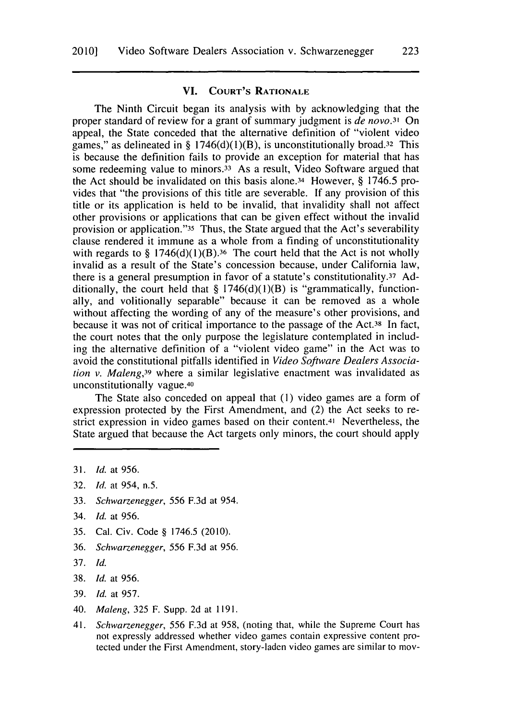#### **VI. COURT'S RATIONALE**

The Ninth Circuit began its analysis with **by** acknowledging that the proper standard of review for a grant of summary judgment is *de* novo.<sup>3</sup>*1 On* appeal, the State conceded that the alternative definition of "violent video games," as delineated in **§** 1746(d)(1)(B), is unconstitutionally broad.32 This is because the definition fails to provide an exception for material that has some redeeming value to minors.<sup>33</sup> As a result, Video Software argued that the Act should be invalidated on this basis alone.34 However, **§** *1746.5* provides that "the provisions of this title are severable. **If** any provision of this title or its application is held to be invalid, that invalidity shall not affect other provisions or applications that can be given effect without the invalid provision or application."35 Thus, the State argued that the Act's severability clause rendered it immune as a whole from a finding of unconstitutionality with regards to § 1746(d)(1)(B).<sup>36</sup> The court held that the Act is not wholly invalid as a result of the State's concession because, under California law, there is a general presumption in favor of a statute's constitutionality.37 **Ad**ditionally, the court held that **§** 1746(d)(1)(B) is "grammatically, functionally, and volitionally separable" because it can be removed as a whole without affecting the wording of any of the measure's other provisions, and because it was not of critical importance to the passage of the Act.<sup>38</sup> In fact, the court notes that the only purpose the legislature contemplated in including the alternative definition of a "violent video game" in the Act was to avoid the constitutional pitfalls identified in *Video Software Dealers Association v. Maleng,39* where a similar legislative enactment was invalidated as unconstitutionally vague. <sup>40</sup>

The State also conceded on appeal that **(1)** video games are a form of expression protected **by** the First Amendment, and (2) the Act seeks to restrict expression in video games based on their content.41 Nevertheless, the State argued that because the Act targets only minors, the court should apply

- **32.** *Id.* at 954, n.5.
- **33.** *Schwarzenegger,* **556 F.3d** at 954.
- 34. *Id.* at **956.**
- **35.** Cal. Civ. Code **§ 1746.5** (2010).
- **36.** *Schwarzenegger, 556* **F.3d** at **956.**
- **37.** *Id.*
- **38.** *Id.* at **956.**
- **39.** *Id.* at **957.**
- 40. *Maleng,* **325** F. Supp. **2d** at **1191.**
- 41. *Schwarzenegger,* **556 F.3d** at **958,** (noting that, while the Supreme Court has not expressly addressed whether video games contain expressive content protected under the First Amendment, story-laden video games are similar to mov-

**<sup>31.</sup>** *Id.* at **956.**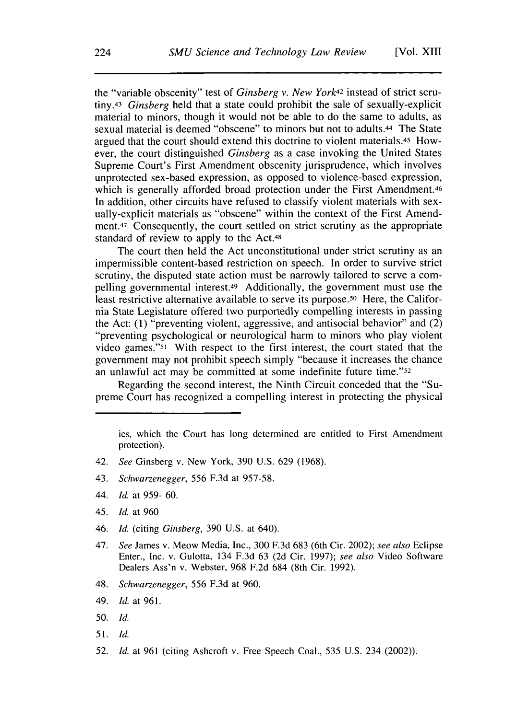the "variable obscenity" test of *Ginsberg v. New York42* instead of strict scru*tiny.43 Ginsberg* held that a state could prohibit the sale of sexually-explicit material to minors, though it would not be able to do the same to adults, as sexual material is deemed "obscene" to minors but not to adults.44 The State argued that the court should extend this doctrine to violent materials.45 However, the court distinguished *Ginsberg* as a case invoking the United States Supreme Court's First Amendment obscenity jurisprudence, which involves unprotected sex-based expression, as opposed to violence-based expression, which is generally afforded broad protection under the First Amendment.<sup>46</sup> In addition, other circuits have refused to classify violent materials with sexually-explicit materials as "obscene" within the context of the First Amendment.<sup>47</sup> Consequently, the court settled on strict scrutiny as the appropriate standard of review to apply to the Act.48

The court then held the Act unconstitutional under strict scrutiny as an impermissible content-based restriction on speech. In order to survive strict scrutiny, the disputed state action must be narrowly tailored to serve a compelling governmental interest.49 Additionally, the government must use the least restrictive alternative available to serve its purpose.50 Here, the California State Legislature offered two purportedly compelling interests in passing the Act: **(1)** "preventing violent, aggressive, and antisocial behavior" and (2) "preventing psychological or neurological harm to minors who play violent video games."51 With respect to the first interest, the court stated that the government may not prohibit speech simply "because it increases the chance an unlawful act may be committed at some indefinite future time."52

Regarding the second interest, the Ninth Circuit conceded that the "Supreme Court has recognized a compelling interest in protecting the physical

- 42. *See* Ginsberg v. New York, **390 U.S. 629 (1968).**
- 43. *Schwarzenegger,* **556 F.3d** at **957-58.**
- 44. *Id.* at **959- 60.**
- 45. *Id.* at **960**
- *46. Id. (citing Ginsberg,* **390 U.S.** at 640).
- 47. *See* James v. Meow Media, Inc., **300 F.3d 683** (6th Cir. 2002); *see also* Eclipse Enter., Inc. v. Gulotta, 134 **F.3d 63 (2d** Cir. **1997);** *see also* Video Software Dealers Ass'n v. Webster, **968 F.2d** 684 (8th Cir. **1992).**
- 48. *Schwarzenegger,* **556 F.3d** at **960.**
- 49. *Id.* at **961.**
- **50.** *Id.*
- **51.** *Id.*
- **52.** *Id.* at **961** (citing Ashcroft v. Free Speech Coal., **535 U.S.** 234 (2002)).

ies, which the Court has long determined are entitled to First Amendment protection).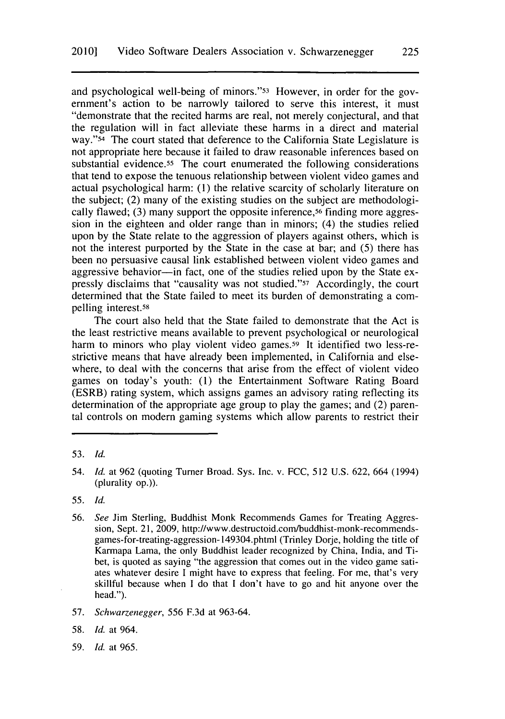and psychological well-being of minors."53 However, in order for the government's action to be narrowly tailored to serve this interest, it must "demonstrate that the recited harms are real, not merely conjectural, and that the regulation will in fact alleviate these harms in a direct and material **way."54** The court stated that deference to the California State Legislature is not appropriate here because it failed to draw reasonable inferences based on substantial evidence.<sup>55</sup> The court enumerated the following considerations that tend to expose the tenuous relationship between violent video games and actual psychological harm: **(1)** the relative scarcity of scholarly literature on the subject; (2) many of the existing studies on the subject are methodologically flawed; (3) many support the opposite inference,<sup>56</sup> finding more aggression in the eighteen and older range than in minors; (4) the studies relied upon **by** the State relate to the aggression of players against others, which is not the interest purported **by** the State in the case at bar; and **(5)** there has been no persuasive causal link established between violent video games and aggressive behavior-in fact, one of the studies relied upon by the State expressly disclaims that "causality was not studied."57 Accordingly, the court determined that the State failed to meet its burden of demonstrating a compelling interest.58

The court also held that the State failed to demonstrate that the Act is the least restrictive means available to prevent psychological or neurological harm to minors who play violent video games.<sup>59</sup> It identified two less-restrictive means that have already been implemented, in California and elsewhere, to deal with the concerns that arise from the effect of violent video games on today's youth: **(1)** the Entertainment Software Rating Board (ESRB) rating system, which assigns games an advisory rating reflecting its determination of the appropriate age group to play the games; and (2) parental controls on modern gaming systems which allow parents to restrict their

**55.** *Id.*

- **57.** *Schwarzenegger,* **556 F.3d** at **963-64.**
- **58.** *Id.* at 964.
- **59.** *Id.* at **965.**

**<sup>53.</sup>** *Id.*

<sup>54.</sup> *Id.* at **962** (quoting Turner Broad. Sys. Inc. v. **FCC, 512 U.S. 622,** 664 (1994) (plurality op.)).

*<sup>56.</sup> See* Jim Sterling, Buddhist Monk Recommends Games for Treating Aggression, Sept. 21, **2009,** http://www.destructoid.com/buddhist-monk-recommendsgames-for-treating-aggression- 149304.phtml (Trinley Dorje, holding the title of Karmapa Lama, the only Buddhist leader recognized **by** China, India, and Tibet, is quoted as saying "the aggression that comes out in the video game satiates whatever desire I might have to express that feeling. For me, that's very skillful because when **I** do that **I** don't have to go and hit anyone over the head.").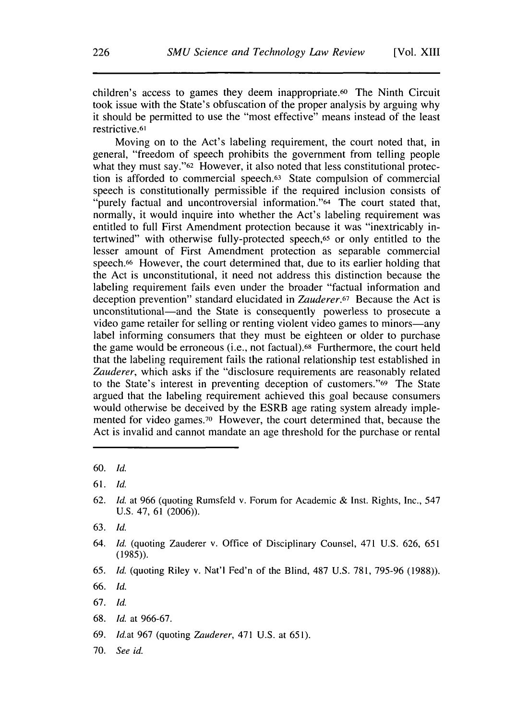children's access to games they deem inappropriate.60 The Ninth Circuit took issue with the State's obfuscation of the proper analysis **by** arguing why it should be permitted to use the "most effective" means instead of the least restrictive.61

Moving on to the Act's labeling requirement, the court noted that, in general, "freedom of speech prohibits the government from telling people what they must say."<sup>62</sup> However, it also noted that less constitutional protection is afforded to commercial speech.63 State compulsion of commercial speech is constitutionally permissible if the required inclusion consists of "purely factual and uncontroversial information."64 The court stated that, normally, it would inquire into whether the Act's labeling requirement was entitled to full First Amendment protection because it was "inextricably intertwined" with otherwise fully-protected speech,65 or only entitled to the lesser amount of First Amendment protection as separable commercial speech.66 However, the court determined that, due to its earlier holding that the Act is unconstitutional, it need not address this distinction because the labeling requirement fails even under the broader "factual information and deception prevention" standard elucidated in Zauderer.<sup>6</sup>*7* Because the Act is unconstitutional-and the State is consequently powerless to prosecute a video game retailer for selling or renting violent video games to minors-any label informing consumers that they must be eighteen or older to purchase the game would be erroneous (i.e., not factual).68 Furthermore, the court held that the labeling requirement fails the rational relationship test established in Zauderer, which asks if the "disclosure requirements are reasonably related to the State's interest in preventing deception of customers."69 The State argued that the labeling requirement achieved this goal because consumers would otherwise be deceived **by** the ESRB age rating system already implemented for video games.70 However, the court determined that, because the Act is invalid and cannot mandate an age threshold for the purchase or rental

- **67.** *Id.*
- **68.** *Id.* at **966-67.**
- **69.** *Idat* **967** (quoting *Zauderer,* 471 **U.S.** at **651).**
- **70.** *See id.*

**<sup>60.</sup>** *Id.*

**<sup>61.</sup>** *Id.*

**<sup>62.</sup>** *Id.* at **966** (quoting Rumsfeld v. Forum for Academic **&** Inst. Rights, Inc., 547 **U.S.** 47, **61 (2006)).**

**<sup>63.</sup>** *Id.*

<sup>64.</sup> *Id.* (quoting Zauderer v. Office of Disciplinary Counsel, 471 **U.S. 626, 651 (1985)).**

**<sup>65.</sup>** *Id.* (quoting Riley v. Nat'l Fed'n of the Blind, **487 U.S. 781, 795-96 (1988)).**

**<sup>66.</sup>** *Id.*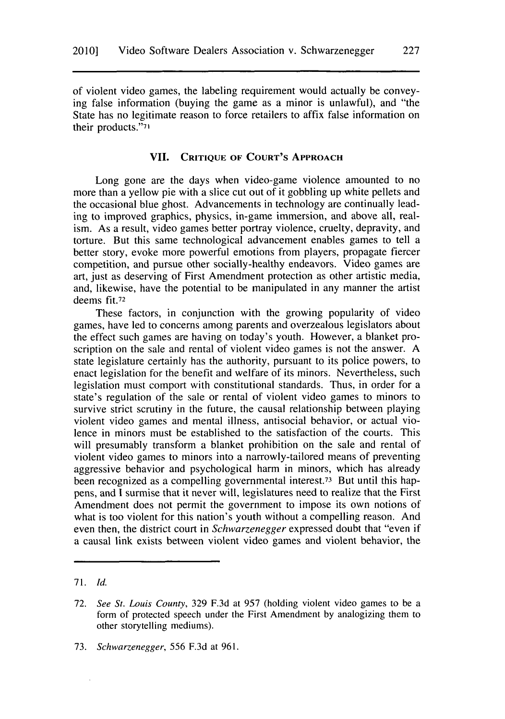of violent video games, the labeling requirement would actually be conveying false information (buying the game as a minor is unlawful), and "the State has no legitimate reason to force retailers to affix false information on their products."7

#### **VII. CRITIQUE OF COURT'S APPROACH**

Long gone are the days when video-game violence amounted to no more than a yellow pie with a slice cut out of it gobbling up white pellets and the occasional blue ghost. Advancements in technology are continually leading to improved graphics, physics, in-game immersion, and above all, realism. As a result, video games better portray violence, cruelty, depravity, and torture. But this same technological advancement enables games to tell a better story, evoke more powerful emotions from players, propagate fiercer competition, and pursue other socially-healthy endeavors. Video games are art, just as deserving of First Amendment protection as other artistic media, and, likewise, have the potential to be manipulated in any manner the artist deems **fit.72**

These factors, in conjunction with the growing popularity of video games, have led to concerns among parents and overzealous legislators about the effect such games are having on today's youth. However, a blanket proscription on the sale and rental of violent video games is not the answer. **A** state legislature certainly has the authority, pursuant to its police powers, to enact legislation for the benefit and welfare of its minors. Nevertheless, such legislation must comport with constitutional standards. Thus, in order for a state's regulation of the sale or rental of violent video games to minors to survive strict scrutiny in the future, the causal relationship between playing violent video games and mental illness, antisocial behavior, or actual violence in minors must be established to the satisfaction of the courts. This will presumably transform a blanket prohibition on the sale and rental of violent video games to minors into a narrowly-tailored means of preventing aggressive behavior and psychological harm in minors, which has already been recognized as a compelling governmental interest.73 But until this happens, and **I** surmise that it never will, legislatures need **to** realize that the First Amendment does not permit the government to impose its own notions of what is too violent for this nation's youth without a compelling reason. And even then, the district court in *Schwarzenegger* expressed doubt that "even if a causal link exists between violent video games and violent behavior, the

**227**

**<sup>7 1.</sup>** *Id.*

**<sup>72.</sup>** *See St. Louis County,* **329 F.3d** at **957** (holding violent video games to be a form of protected speech under the First Amendment **by** analogizing them to other storytelling mediums).

*<sup>73.</sup> Schwarzenegger,* **556 F.3d** at **961.**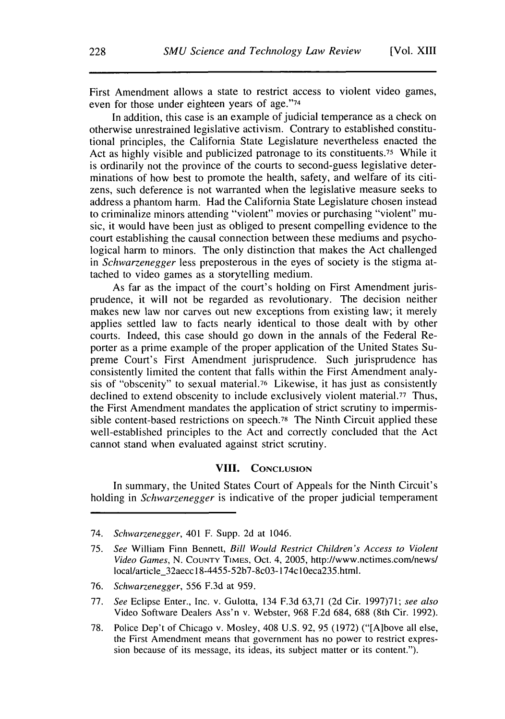First Amendment allows a state to restrict access to violent video games, even for those under eighteen years of age."74

In addition, this case is an example of judicial temperance as a check on otherwise unrestrained legislative activism. Contrary to established constitutional principles, the California State Legislature nevertheless enacted the Act as **highly** visible and publicized patronage to its constituents.75 While it is ordinarily not the province of the courts to second-guess legislative determinations of how best to promote the health, safety, and welfare of its citizens, such deference is not warranted when the legislative measure seeks to address a phantom harm. Had the California State Legislature chosen instead to criminalize minors attending "violent" movies or purchasing "violent" music, it would have been just as obliged to present compelling evidence to the court establishing the causal connection between these mediums and psychological harm to minors. The only distinction that makes the Act challenged *in Schwarzenegger* less preposterous in the eyes of society is the stigma attached to video games as a storytelling medium.

As far as the impact of the court's holding on First Amendment jurisprudence, it will not be regarded as revolutionary. The decision neither makes new law nor carves out new exceptions from existing law; it merely applies settled law to facts nearly identical to those dealt with **by** other courts. Indeed, this case should go down in the annals of the Federal Reporter as a prime example of the proper application of the United States Supreme Court's First Amendment jurisprudence. Such jurisprudence has consistently limited the content that falls within the First Amendment analysis of "obscenity" to sexual material.76 Likewise, it has just as consistently declined to extend obscenity to include exclusively violent material.<sup>77</sup> Thus, the First Amendment mandates the application of strict scrutiny to impermissible content-based restrictions on speech.78 The Ninth Circuit applied these well-established principles to the Act and correctly concluded that the Act cannot stand when evaluated against strict scrutiny.

#### **VIII. CONCLUSION**

In summary, the United States Court of Appeals for the Ninth Circuit's holding in *Schwarzenegger* is indicative of the proper judicial temperament

74. *Schwarzenegger,* 401 F. Supp. **2d** at 1046.

- **76.** *Schwarzenegger,* **556 F.3d** at **959.**
- **77.** *See* Eclipse Enter., Inc. v. Gulotta, 134 **F.3d 63,71 (2d** Cir. **1997)71;** *see also* Video Software Dealers Ass'n v. Webster, **968 F.2d** 684, **688** (8th Cir. **1992).**
- **78.** Police Dep't of Chicago v. Mosley, 408 **U.S. 92, 95 (1972)** ("[A]bove all else, the First Amendment means that government has no power to restrict expression because of its message, its ideas, its subject matter or its content.").

**<sup>75.</sup>** *See* William Finn Bennett, *Bill Would Restrict Children's Access to Violent Video Games,* **N. COUNTY TiMES,** Oct. 4, **2005,** http://www.nctimes.com/news/ local/article\_32aecc **I** 8-4455-52b7-8cO3-174cl0eca235.html.